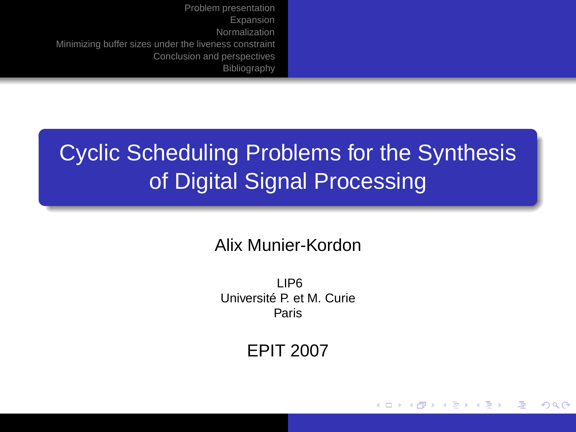# Cyclic Scheduling Problems for the Synthesis of Digital Signal Processing

Alix Munier-Kordon

LIP6 Université P. et M. Curie Paris

EPIT 2007

<span id="page-0-0"></span>イロト イ押 トイヨ トイヨト

Φ

 $QQ$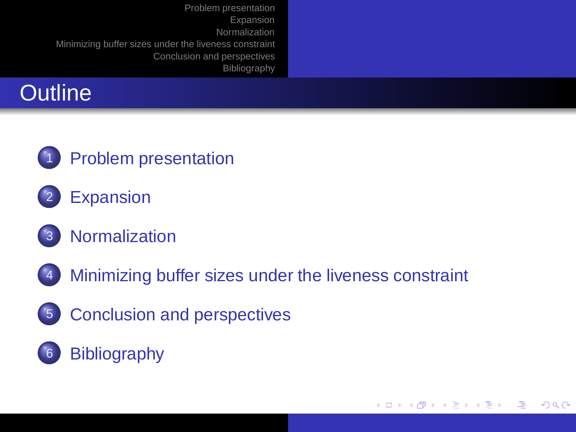| Problem presentation<br>Expansion<br>Normalization<br>Minimizing buffer sizes under the liveness constraint<br>Conclusion and perspectives<br>Bibliography |  |
|------------------------------------------------------------------------------------------------------------------------------------------------------------|--|
| <b>Outline</b>                                                                                                                                             |  |



- **[Expansion](#page-14-0)**
- 3 [Normalization](#page-24-0)
- 4 [Minimizing buffer sizes under the liveness constraint](#page-33-0)
- 5 [Conclusion and perspectives](#page-37-0)

### <span id="page-1-0"></span>6 [Bibliography](#page-38-0)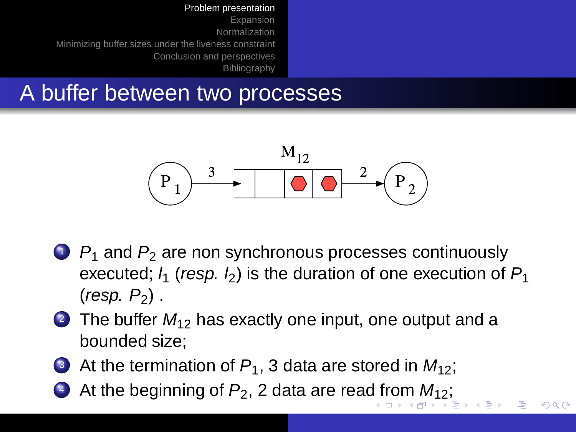[Expansion](#page-14-0) [Normalization](#page-24-0) [Minimizing buffer sizes under the liveness constraint](#page-33-0) [Conclusion and perspectives](#page-37-0) **[Bibliography](#page-38-0)** 

### A buffer between two processes



 $1 \cdot P_1$  and  $P_2$  are non synchronous processes continuously executed;  $l_1$  (resp.  $l_2$ ) is the duration of one execution of  $P_1$  $(resp. P<sub>2</sub>)$ .

<span id="page-2-0"></span>つくい

- 2 The buffer  $M_{12}$  has exactly one input, one output and a bounded size;
- 3 At the termination of  $P_1$ , 3 data are stored in  $M_{12}$ ;
- 4 At the beginning [o](#page-3-0)f  $P_2$  $P_2$ , 2 data are rea[d f](#page-1-0)ro[m](#page-1-0)  $M_{12}$  $M_{12}$  $M_{12}$  $M_{12}$ [;](#page-2-0)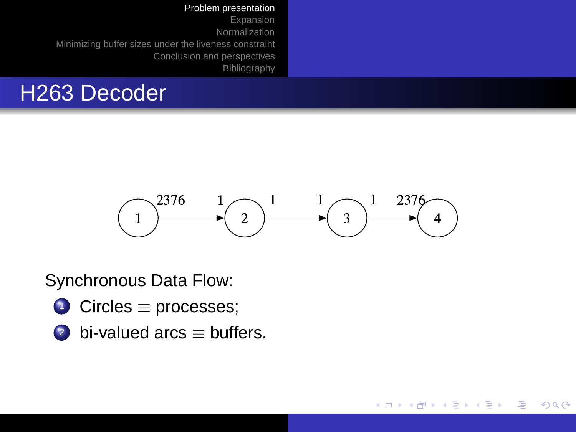#### [Bibliography](#page-38-0)

## H263 Decoder



<span id="page-3-0"></span>イロト イ押 トイヨ トイヨト

Φ

 $2Q$ 

Synchronous Data Flow:

- <sup>1</sup> Circles ≡ processes;
- 2 bi-valued arcs  $\equiv$  buffers.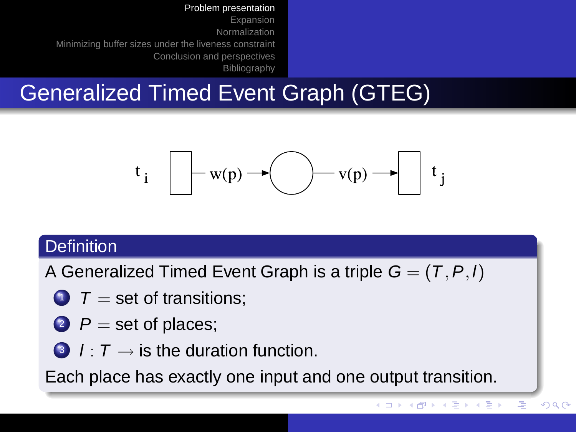[Expansion](#page-14-0) [Normalization](#page-24-0) [Minimizing buffer sizes under the liveness constraint](#page-33-0) [Conclusion and perspectives](#page-37-0) [Bibliography](#page-38-0)

# Generalized Timed Event Graph (GTEG)

$$
t_i \quad \boxed{\qquad} w(p) \rightarrow \boxed{\qquad} v(p) \rightarrow \boxed{t_j}
$$

#### **Definition**

A Generalized Timed Event Graph is a triple  $G = (T, P, I)$ 

- $1 \nabla =$  set of transitions;
- 2  $P =$  set of places;
- 3  $l : T \rightarrow$  is the duration function.

Each place has exactly one input and one output transition.

ă,

イロト イ押 トイヨ トイヨト

 $299$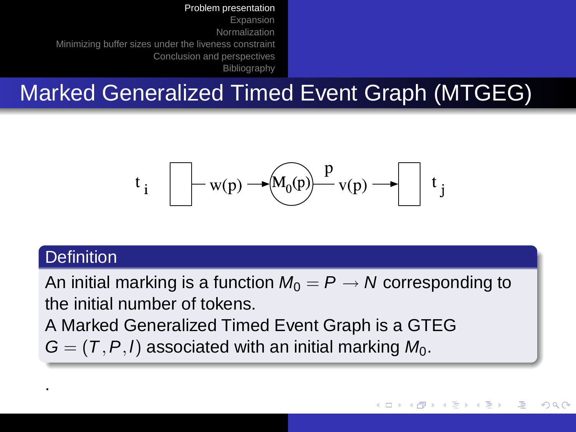[Expansion](#page-14-0) [Normalization](#page-24-0) [Minimizing buffer sizes under the liveness constraint](#page-33-0) [Conclusion and perspectives](#page-37-0) [Bibliography](#page-38-0)

## Marked Generalized Timed Event Graph (MTGEG)

$$
t_i
$$
  $\longrightarrow$  w(p)  $\longrightarrow$   $M_0(p)$   $\longrightarrow$   $V(p)$   $\longrightarrow$   $t_j$ 

#### **Definition**

.

An initial marking is a function  $M_0 = P \rightarrow N$  corresponding to the initial number of tokens.

A Marked Generalized Timed Event Graph is a GTEG  $G = (T, P, I)$  associated with an initial marking  $M_0$ .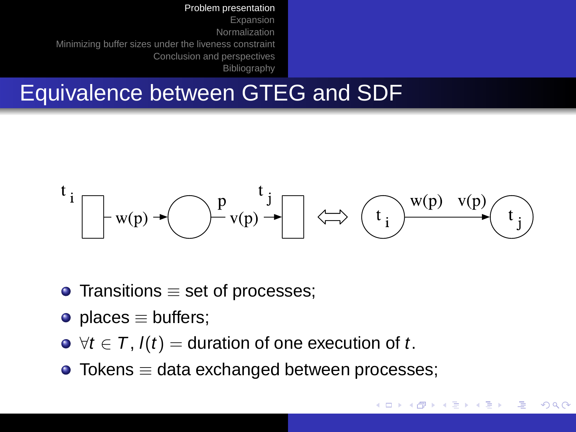[Expansion](#page-14-0) [Normalization](#page-24-0) [Minimizing buffer sizes under the liveness constraint](#page-33-0) [Conclusion and perspectives](#page-37-0) [Bibliography](#page-38-0)

## Equivalence between GTEG and SDF



イロト イ押 トイヨ トイヨト

- $\bullet$  Transitions  $\equiv$  set of processes;
- places  $\equiv$  buffers;
- $\bullet \ \forall t \in \mathcal{T}$ ,  $I(t) =$  duration of one execution of t.
- $\bullet$  Tokens  $\equiv$  data exchanged between processes;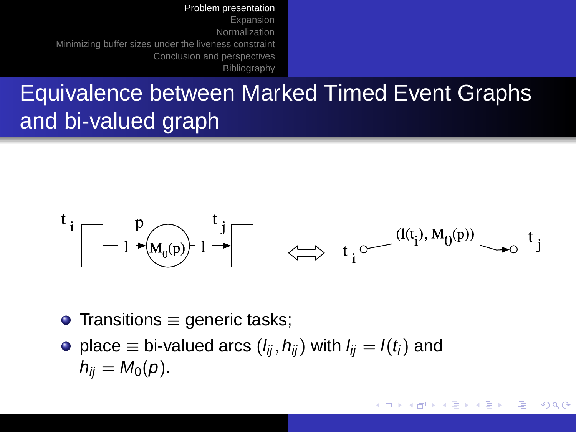[Expansion](#page-14-0) [Normalization](#page-24-0) [Minimizing buffer sizes under the liveness constraint](#page-33-0) [Conclusion and perspectives](#page-37-0) [Bibliography](#page-38-0)

## Equivalence between Marked Timed Event Graphs and bi-valued graph

$$
t_i
$$
  
\n $1 \rightarrow (M_0(p))$   
\n $1 \rightarrow$   
\n $t_j$   
\n $t_i$   
\n $t_i$   
\n $(I(t_i), M_0(p))$   
\n $t_j$ 

イロト イ押 トイヨ トイヨト

 $QQ$ 

- $\bullet$  Transitions  $\equiv$  generic tasks;
- place  $\equiv$  bi-valued arcs  $(l_{ij}, h_{ij})$  with  $l_{ij} = l(t_i)$  and  $h_{ii} = M_0(p)$ .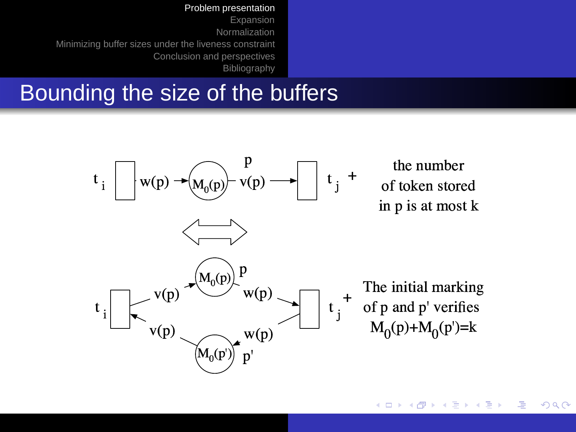[Expansion](#page-14-0) [Normalization](#page-24-0) [Minimizing buffer sizes under the liveness constraint](#page-33-0) [Conclusion and perspectives](#page-37-0) [Bibliography](#page-38-0)

### Bounding the size of the buffers



重 イロト (押) イヨトイ  $290$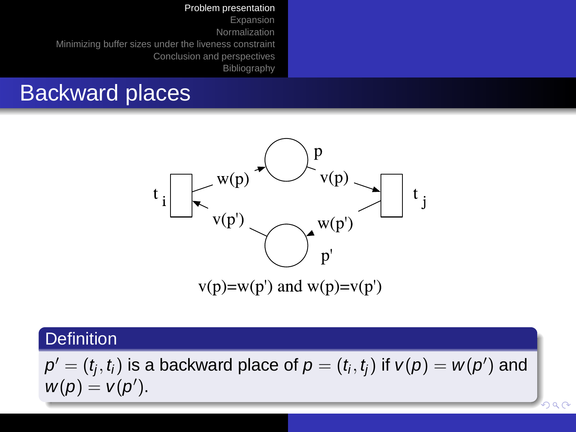[Expansion](#page-14-0) [Normalization](#page-24-0) [Minimizing buffer sizes under the liveness constraint](#page-33-0) [Conclusion and perspectives](#page-37-0) [Bibliography](#page-38-0)

### Backward places



#### **Definition**

 $\boldsymbol{\rho}' = (t_j, t_i)$  is a backward place of  $\boldsymbol{\rho} = (t_i, t_j)$  if  $\boldsymbol{\nu}(\boldsymbol{\rho}) = \boldsymbol{\nu}(\boldsymbol{\rho}')$  and  $w(p) = v(p')$ .

 $2990$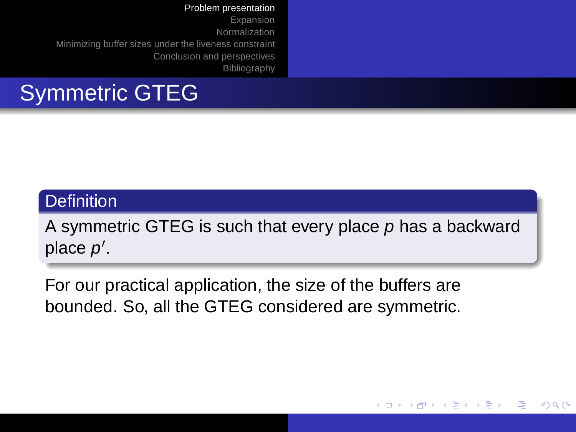[Expansion](#page-14-0) [Normalization](#page-24-0) [Minimizing buffer sizes under the liveness constraint](#page-33-0) [Conclusion and perspectives](#page-37-0) [Bibliography](#page-38-0)

## Symmetric GTEG

#### **Definition**

A symmetric GTEG is such that every place  $p$  has a backward place  $p'$ .

**K ロ ▶ K 何 ▶ K ヨ ▶ K ヨ** 

 $\Omega$ 

For our practical application, the size of the buffers are bounded. So, all the GTEG considered are symmetric.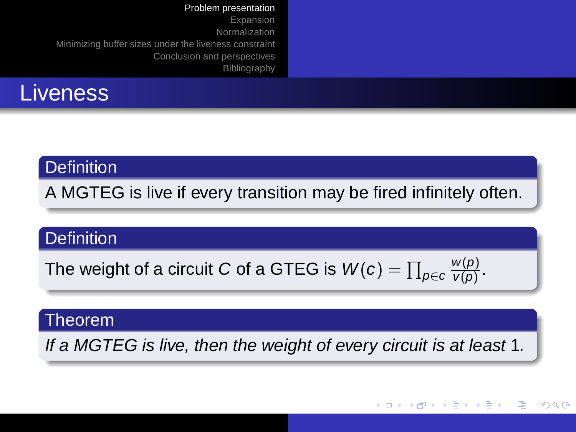#### Liveness

#### **Definition**

A MGTEG is live if every transition may be fired infinitely often.

#### **Definition**

The weight of a circuit  $C$  of a GTEG is  $\mathsf{W}(c)=\prod_{\rho\in c}$  $w(p)$  $\frac{w(p)}{v(p)}$ .

#### Theorem

If a MGTEG is live, then the weight of every circuit is at least 1.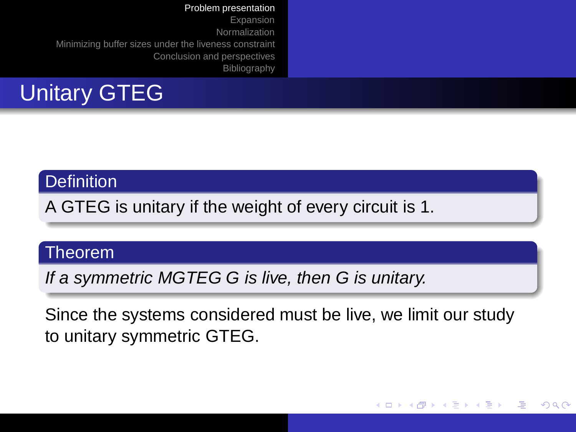# Unitary GTEG

#### **Definition**

A GTEG is unitary if the weight of every circuit is 1.

#### Theorem

If a symmetric MGTEG G is live, then G is unitary.

Since the systems considered must be live, we limit our study to unitary symmetric GTEG.

イロト イ押 トイヨ トイヨト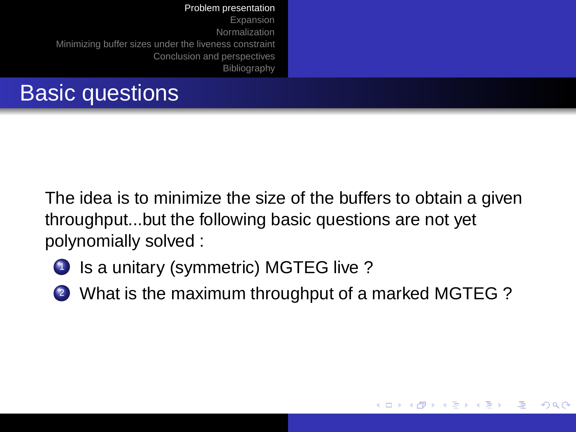The idea is to minimize the size of the buffers to obtain a given throughput...but the following basic questions are not yet polynomially solved :

- 1 Is a unitary (symmetric) MGTEG live?
- <sup>2</sup> What is the maximum throughput of a marked MGTEG ?

<span id="page-13-0"></span>**K ロ ▶ K 何 ▶ K ヨ ▶ K ヨ** 

 $\Omega$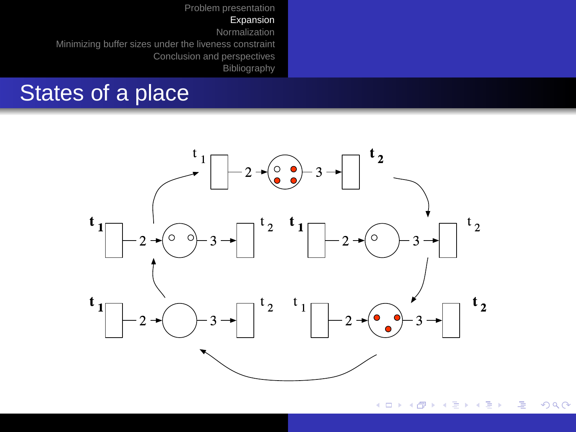### States of a place



<span id="page-14-0"></span> $290$ メロトメ 御 トメ ミトメ ミト Ξ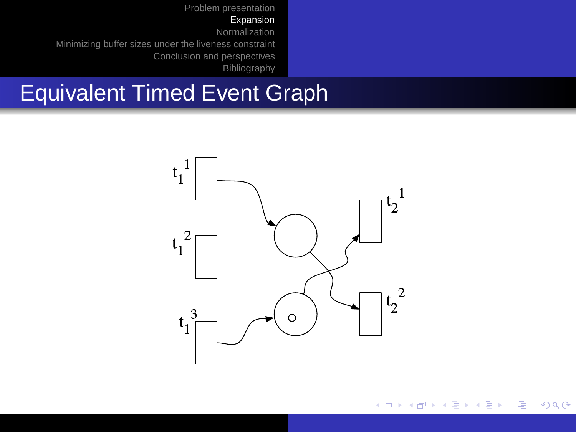#### [Expansion](#page-14-0)

[Normalization](#page-24-0)

[Minimizing buffer sizes under the liveness constraint](#page-33-0) [Conclusion and perspectives](#page-37-0)

**[Bibliography](#page-38-0)** 

# Equivalent Timed Event Graph



イロト イ部 トイミト イミト  $298$ Φ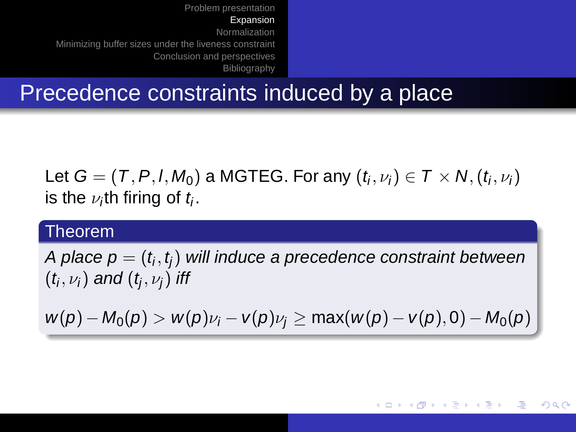### Precedence constraints induced by a place

Let  $\mathsf{G}=(\mathsf{T},\mathsf{P},\mathsf{I},\mathsf{M}_0)$  a MGTEG. For any  $(t_i,\nu_i)\in \mathsf{T}\times \mathsf{N},(t_i,\nu_i)$ is the  $\nu_i$ th firing of  $t_i.$ 

#### Theorem

A place  $\boldsymbol{\mathsf{p}}=(\mathit{t}_i, \mathit{t}_j)$  will induce a precedence constraint between  $(t_{\mathsf{i}},\nu_{\mathsf{i}})$  and  $(t_{\mathsf{j}},\nu_{\mathsf{j}})$  iff

$$
w(p) - M_0(p) > w(p)\nu_i - v(p)\nu_j \geq \max(w(p) - v(p), 0) - M_0(p)
$$

メロトメ 御 トメ ミトメ ミト

 $2QQ$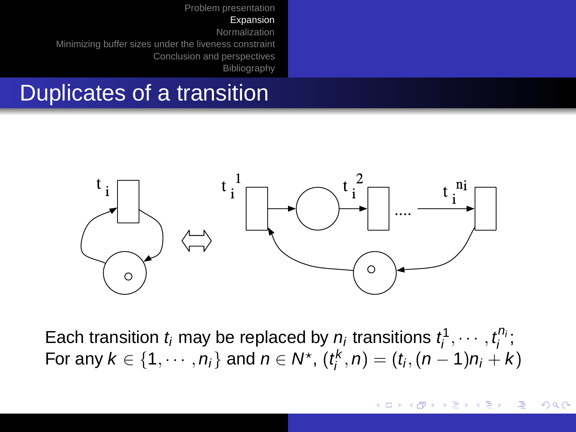### Duplicates of a transition



Each transition  $t_i$  may be replaced by  $n_i$  transitions  $t_i^1, \cdots, t_i^{n_i}$ ; For any  $k \in \{1, \cdots, n_i\}$  and  $n \in \mathcal{N}^\star$ ,  $(t^k_i, n) = (t_i, (n-1)n_i + k)$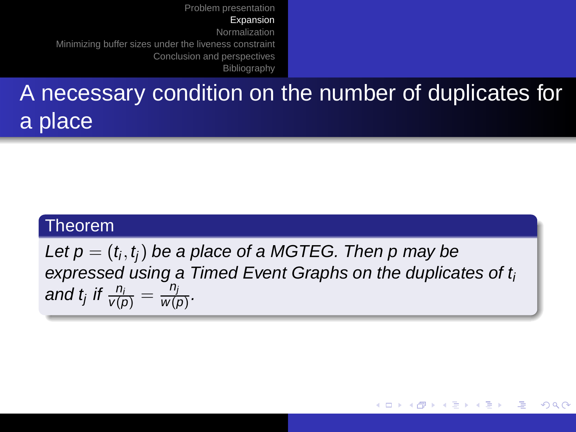## A necessary condition on the number of duplicates for a place

#### Theorem

Let  $\mathsf{p}=(t_i,t_j)$  be a place of a MGTEG. Then  $\mathsf{p}$  may be expressed using a Timed Event Graphs on the duplicates of  $t_i$ and t<sub>j</sub> if  $\frac{n_i}{v(\rho)} = \frac{n_j}{w(\rho)}$  $\frac{u_j}{w(p)}$ .

イロメ イ部メ イヨメ イヨメ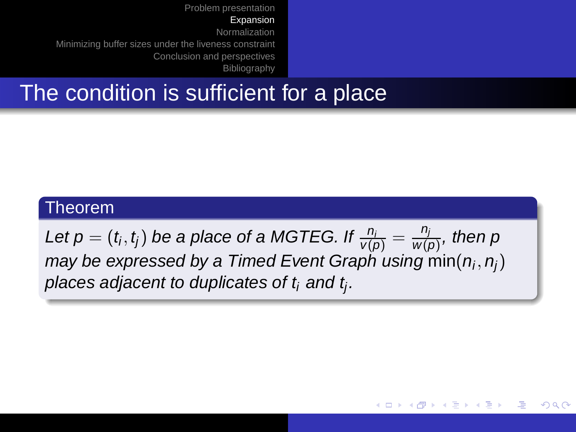## The condition is sufficient for a place

#### Theorem

Let  $p=(t_i,t_j)$  be a place of a MGTEG. If  $\frac{n_i}{\mathsf{v}(p)}=\frac{n_j}{\mathsf{w}(q)}$  $\frac{P_j}{W(p)},$  then p may be expressed by a Timed Event Graph using  $\mathsf{min}(n_i, n_j)$ places adjacent to duplicates of  $t_i$  and  $t_j.$ 

<span id="page-19-0"></span>イロト イ押 トイヨ トイヨト

 $2QQ$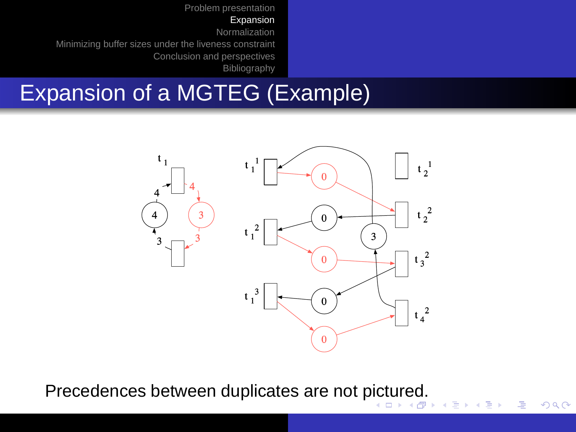[Expansion](#page-14-0)

[Normalization](#page-24-0)

[Minimizing buffer sizes under the liveness constraint](#page-33-0) [Conclusion and perspectives](#page-37-0)

[Bibliography](#page-38-0)

# Expansion of a MGTEG (Example)



 $2990$ 

<span id="page-20-0"></span> $\Rightarrow$ 

Precedences between duplicates are not [pic](#page-19-0)t[ur](#page-21-0)[e](#page-19-0)[d.](#page-20-0)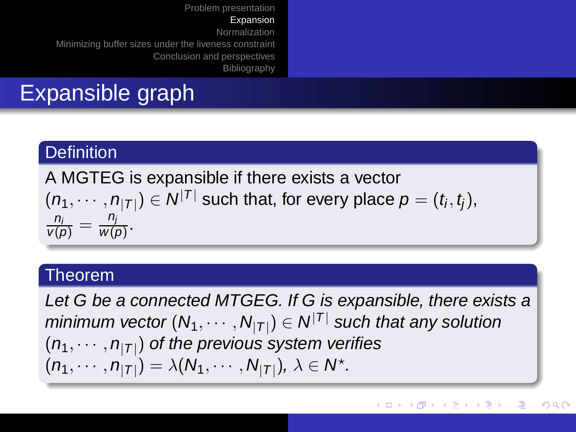# Expansible graph

#### **Definition**

A MGTEG is expansible if there exists a vector  $(n_1,\cdots,n_{|{\cal T}|})\in{\cal N}^{|{\cal T}|}$  such that, for every place  $\rho=(t_i,t_j),$  $\frac{n_i}{v(\rho)} = \frac{n_j}{w(j)}$  $\frac{H_j}{W(p)}$ .

#### Theorem

<span id="page-21-0"></span>Let G be a connected MTGEG. If G is expansible, there exists a minimum vector  $(N_1,\cdots,N_{|T|})\in\mathcal{N}^{|T|}$  such that any solution  $(n_1,\cdots,n_{|{\cal T}|})$  of the previous system verifies  $(n_1, \cdots, n_{|T|}) = \lambda(N_1, \cdots, N_{|T|}), \lambda \in N^*$ .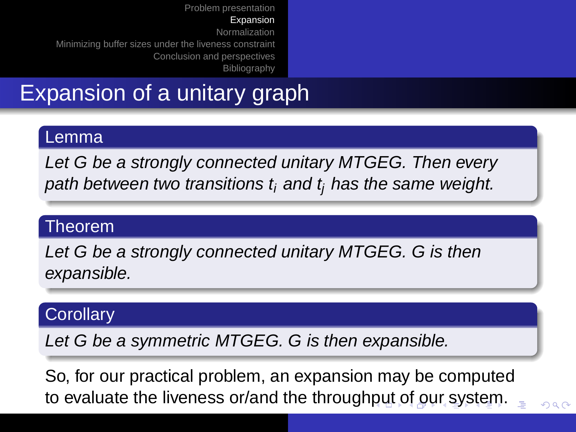## Expansion of a unitary graph

#### Lemma

Let G be a strongly connected unitary MTGEG. Then every path between two transitions  $t_i$  and  $t_i$  has the same weight.

#### Theorem

Let G be a strongly connected unitary MTGEG. G is then expansible.

#### **Corollary**

Let G be a symmetric MTGEG. G is then expansible.

<span id="page-22-0"></span>So, for our practical problem, an expansion may be computed to evaluate the liveness or/and the through[pu](#page-21-0)[t o](#page-23-0)[f](#page-21-0) [o](#page-22-0)[u](#page-23-0)[r](#page-13-0) [s](#page-14-0)[y](#page-23-0)[s](#page-24-0)[t](#page-13-0)[e](#page-14-0)[m](#page-23-0)[.](#page-0-0)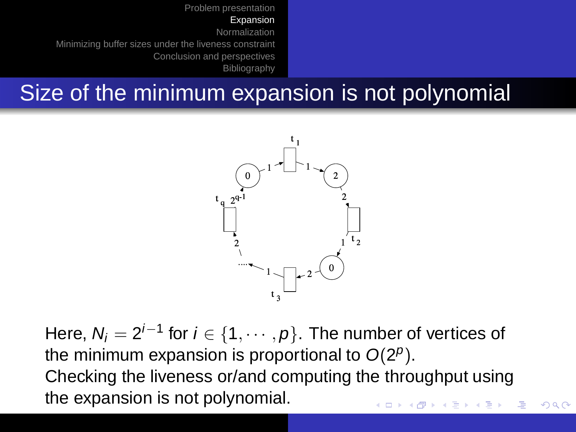## Size of the minimum expansion is not polynomial

<span id="page-23-0"></span>

Here,  $N_i=2^{i-1}$  for  $i\in\{1,\cdots,p\}.$  The number of vertices of the minimum expansion is proportional to  $O(2^p)$ . Checking the liveness or/and computing the throughput using the expansion is not polynomial. $\left\{ \begin{array}{ccc} 1 & 0 & 0 \\ 0 & 1 & 0 \end{array} \right.$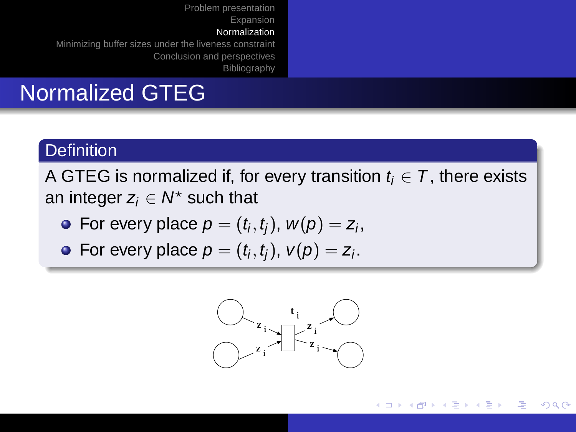## Normalized GTEG

#### **Definition**

A GTEG is normalized if, for every transition  $t_i \in \mathcal{T}$ , there exists an integer  $z_i \in \mathcal{N}^\star$  such that

- For every place  $\rho=(t_i,t_j)$ ,  $w(\rho)=z_i$ ,
- For every place  $\rho=(t_i,t_j),\ \mathsf{v}(\rho)=z_i.$



<span id="page-24-0"></span>(ロトイ部)→(店)→(店)→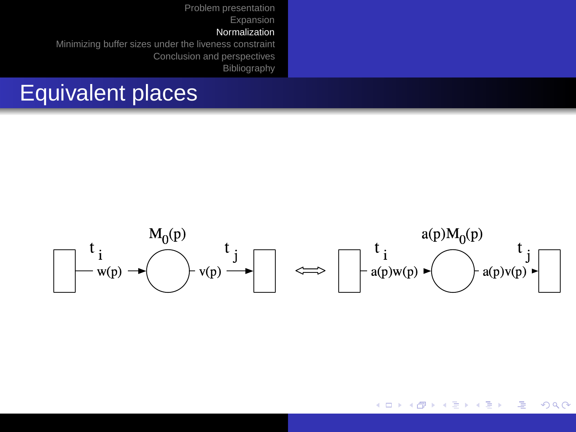### Equivalent places



イロト イ押 トイヨ トイヨト Ξ  $QQ$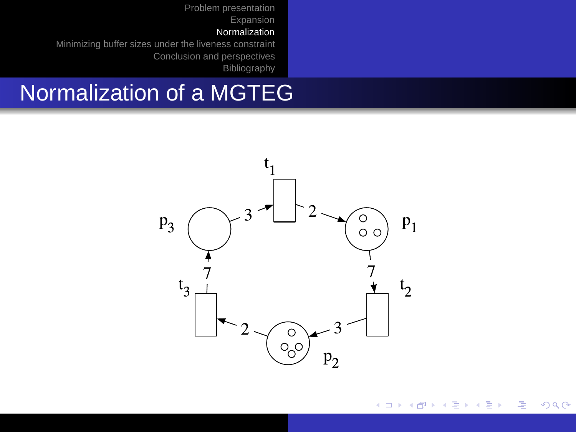[Problem presentation](#page-2-0) [Expansion](#page-14-0)

#### [Normalization](#page-24-0)

[Minimizing buffer sizes under the liveness constraint](#page-33-0) [Conclusion and perspectives](#page-37-0) **[Bibliography](#page-38-0)** 

## Normalization of a MGTEG



イロトス 伊 トス ミトス ミト  $298$ Φ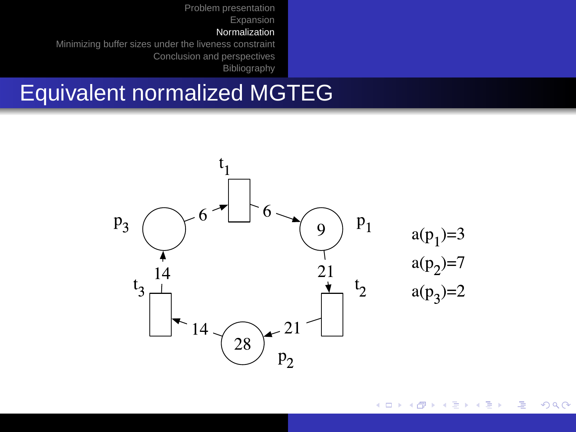[Problem presentation](#page-2-0) [Expansion](#page-14-0)

#### [Normalization](#page-24-0)

[Minimizing buffer sizes under the liveness constraint](#page-33-0) [Conclusion and perspectives](#page-37-0) [Bibliography](#page-38-0)

## Equivalent normalized MGTEG



 $298$ (ロトイ部)→(店)→(店)→ Э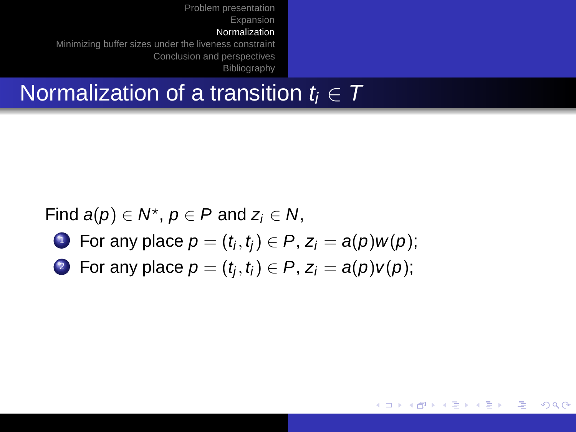### Normalization of a transition  $t_i \in T$

Find  $a(p) \in N^*$ ,  $p \in P$  and  $z_i \in N$ ,

- $\mathbf{1}$  For any place  $p=(t_i,t_j)\in P,$   $\mathsf{z}_i=\mathsf{a}(p)w(p);$
- 2) For any place  $\rho=(t_{\!j},t_{\!i})\in P$ ,  $z_{\!i}=a\!\left(p\right)\!v\!\left(p\right)\!;$

イロト イ押 トイヨ トイヨト

 $QQ$ 

э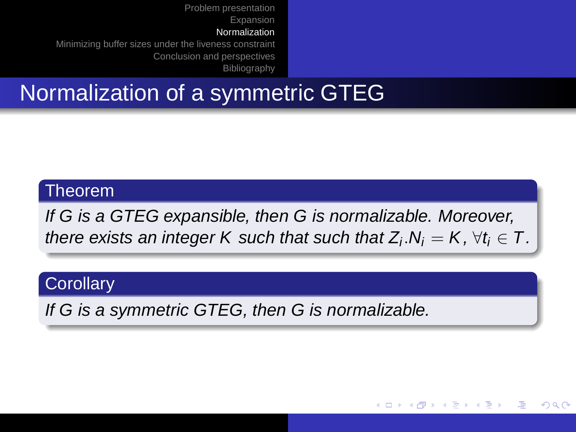# Normalization of a symmetric GTEG

#### Theorem

If G is a GTEG expansible, then G is normalizable. Moreover, there exists an integer K such that such that  $Z_i.\mathsf{N}_i = \mathsf{K}, \forall t_i \in \mathsf{T}.$ 

イロト イ押 トイヨ トイヨト

つくへ

#### **Corollary**

If G is a symmetric GTEG, then G is normalizable.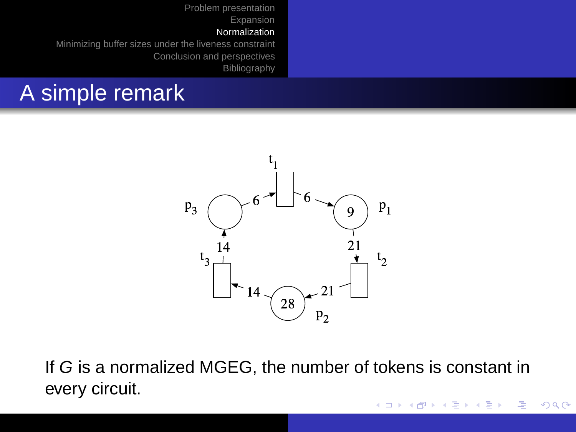### A simple remark



If G is a normalized MGEG, the number of tokens is constant in every circuit.

イロト イ押 トイヨ トイヨト

Ξ

 $QQ$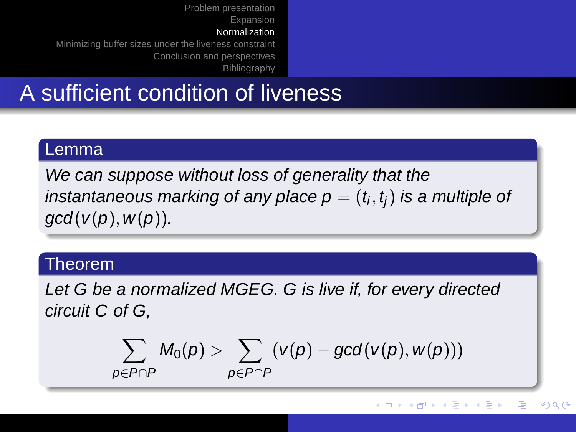### A sufficient condition of liveness

#### Lemma

We can suppose without loss of generality that the instantaneous marking of any place  $\mathsf{p}=(t_i,t_j)$  is a multiple of  $gcd(v(p), w(p)).$ 

#### Theorem

Let G be a normalized MGEG. G is live if, for every directed circuit C of G,

$$
\sum_{p \in P \cap P} M_0(p) > \sum_{p \in P \cap P} (v(p) - \textit{gcd}(v(p), w(p)))
$$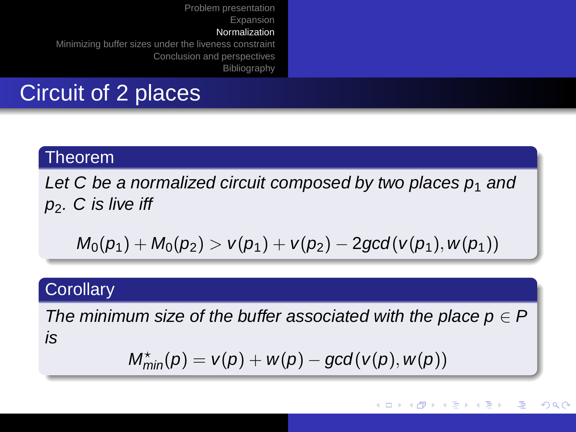## Circuit of 2 places

#### Theorem

Let C be a normalized circuit composed by two places  $p_1$  and  $p_2$ . C is live iff

$$
M_0(p_1)+M_0(p_2)> \nu(p_1)+\nu(p_2)-2gcd(\nu(p_1),w(p_1))
$$

#### **Corollary**

The minimum size of the buffer associated with the place  $p \in P$ is

$$
M^{\star}_{min}(p) = v(p) + w(p) - gcd(v(p), w(p))
$$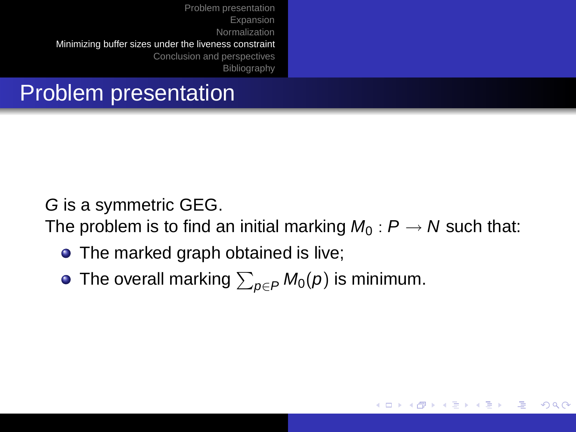# Problem presentation

G is a symmetric GEG.

The problem is to find an initial marking  $M_0$ :  $P \rightarrow N$  such that:

<span id="page-33-0"></span>イロト イ押 トイヨ トイヨト

 $QQ$ 

∍

- The marked graph obtained is live;
- The overall marking  $\sum_{\rho\in P} M_0(\rho)$  is minimum.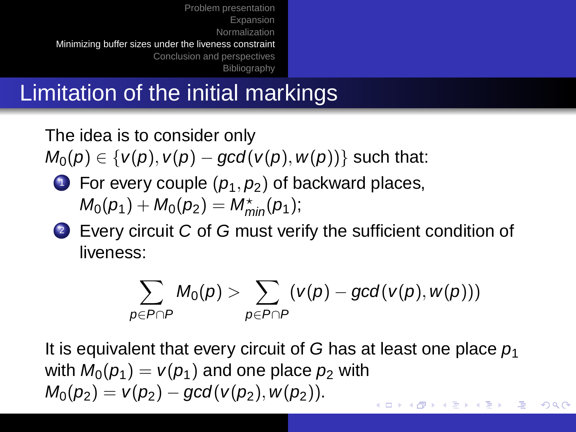# Limitation of the initial markings

The idea is to consider only

 $M_0(p) \in \{v(p), v(p) - gcd(v(p), w(p))\}$  such that:

**1** For every couple  $(p_1, p_2)$  of backward places,  $M_0(p_1) + M_0(p_2) = M_{min}^{\star}(p_1)$ ;

2 Every circuit C of G must verify the sufficient condition of liveness:

$$
\sum_{\boldsymbol{\mathcal{p}}\in P\cap P}M_0(\boldsymbol{\mathcal{p}})>\sum_{\boldsymbol{\mathcal{p}}\in P\cap P}(\textit{v}(\boldsymbol{\mathcal{p}})-\textit{gcd}(\textit{v}(\boldsymbol{\mathcal{p}}),\textit{w}(\boldsymbol{\mathcal{p}})))
$$

 $QQ$ 

It is equivalent that every circuit of G has at least one place  $p_1$ with  $M_0(p_1) = V(p_1)$  and one place  $p_2$  with  $M_0(p_2) = V(p_2) - \gcd(V(p_2), W(p_2)).$  $\overline{z}$  (  $\overline{z}$  ) (  $\overline{z}$  ) (  $\overline{z}$  ) (  $\overline{z}$  ) (  $\overline{z}$  )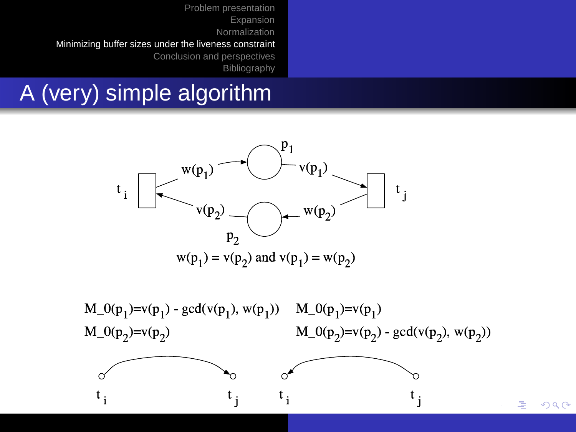# A (very) simple algorithm



M  $0(n) = v(n)$  and  $v(n)$   $w(n)$  M (  $M_0(n) - v(n)$  $M \cap (n) - v(n)$ M  $0(n) = v(n)$  acd( $v(n)$   $w(n)$ )

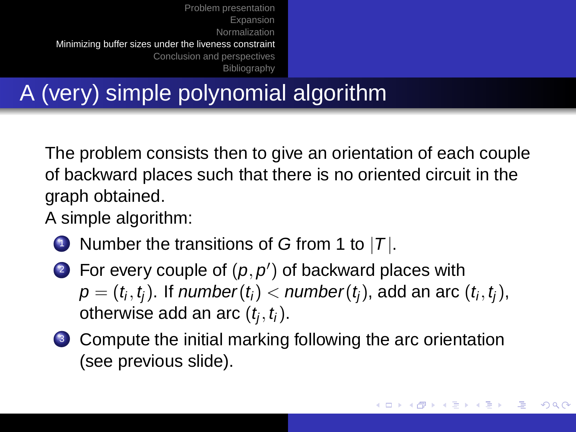# A (very) simple polynomial algorithm

The problem consists then to give an orientation of each couple of backward places such that there is no oriented circuit in the graph obtained.

A simple algorithm:

- **1** Number the transitions of G from 1 to  $|T|$ .
- **2** For every couple of  $(p, p')$  of backward places with  $\pmb{\rho}=(t_i,t_j).$  If  $\pmb{n}$ umber $(t_i)<\pmb{n}$ umber $(t_j),$  add an arc  $(t_i,t_j),$ otherwise add an arc  $(t_j, t_i)$ .
- <sup>3</sup> Compute the initial marking following the arc orientation (see previous slide).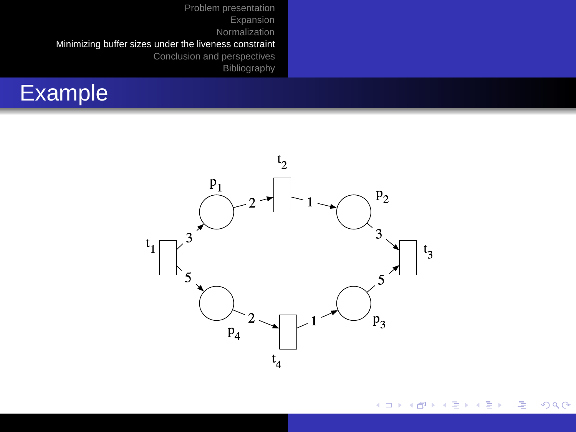



<span id="page-37-0"></span>イロトス 御 トスミトス ミトー 画  $298$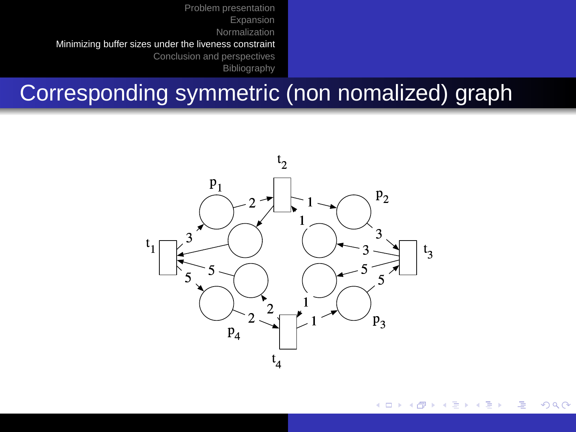## Corresponding symmetric (non nomalized) graph



<span id="page-38-0"></span>イロメ イ部メ イヨメ イヨメー  $\Rightarrow$  $298$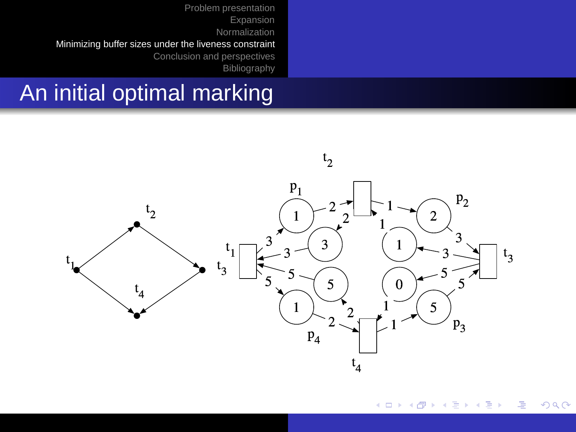### An initial optimal marking



イロト イ部 トイミト イミト G.  $298$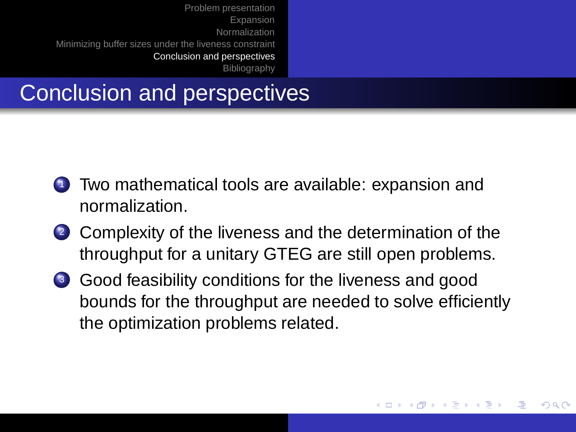## Conclusion and perspectives

- <sup>1</sup> Two mathematical tools are available: expansion and normalization.
- 2 Complexity of the liveness and the determination of the throughput for a unitary GTEG are still open problems.
- <sup>3</sup> Good feasibility conditions for the liveness and good bounds for the throughput are needed to solve efficiently the optimization problems related.

イロト イ押 トイヨ トイヨト

 $\Omega$